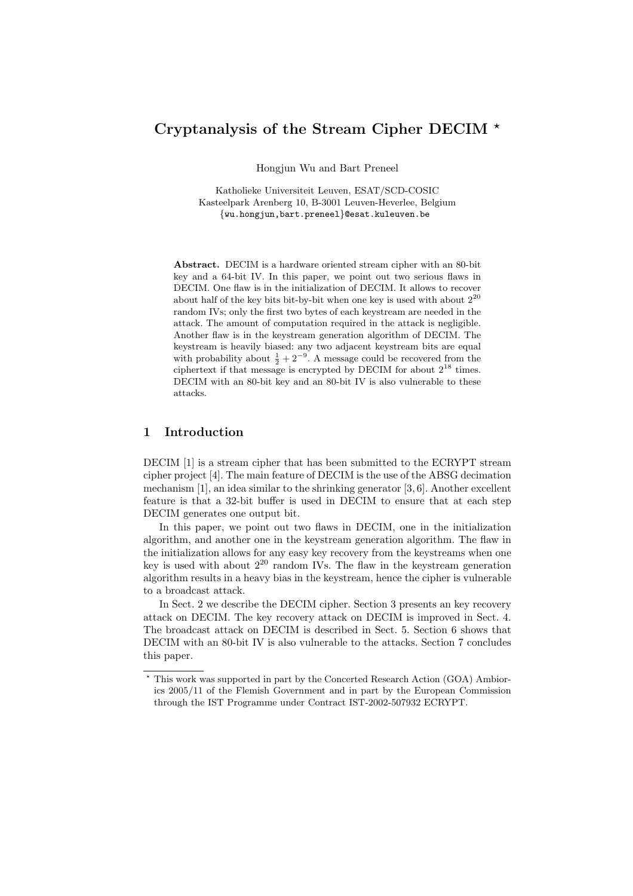# Cryptanalysis of the Stream Cipher DECIM ?

Hongjun Wu and Bart Preneel

Katholieke Universiteit Leuven, ESAT/SCD-COSIC Kasteelpark Arenberg 10, B-3001 Leuven-Heverlee, Belgium {wu.hongjun,bart.preneel}@esat.kuleuven.be

Abstract. DECIM is a hardware oriented stream cipher with an 80-bit key and a 64-bit IV. In this paper, we point out two serious flaws in DECIM. One flaw is in the initialization of DECIM. It allows to recover about half of the key bits bit-by-bit when one key is used with about  $2^{20}$ random IVs; only the first two bytes of each keystream are needed in the attack. The amount of computation required in the attack is negligible. Another flaw is in the keystream generation algorithm of DECIM. The keystream is heavily biased: any two adjacent keystream bits are equal with probability about  $\frac{1}{2} + 2^{-9}$ . A message could be recovered from the ciphertext if that message is encrypted by DECIM for about  $2^{18}$  times. DECIM with an 80-bit key and an 80-bit IV is also vulnerable to these attacks.

### 1 Introduction

DECIM [1] is a stream cipher that has been submitted to the ECRYPT stream cipher project [4]. The main feature of DECIM is the use of the ABSG decimation mechanism [1], an idea similar to the shrinking generator [3, 6]. Another excellent feature is that a 32-bit buffer is used in DECIM to ensure that at each step DECIM generates one output bit.

In this paper, we point out two flaws in DECIM, one in the initialization algorithm, and another one in the keystream generation algorithm. The flaw in the initialization allows for any easy key recovery from the keystreams when one key is used with about  $2^{20}$  random IVs. The flaw in the keystream generation algorithm results in a heavy bias in the keystream, hence the cipher is vulnerable to a broadcast attack.

In Sect. 2 we describe the DECIM cipher. Section 3 presents an key recovery attack on DECIM. The key recovery attack on DECIM is improved in Sect. 4. The broadcast attack on DECIM is described in Sect. 5. Section 6 shows that DECIM with an 80-bit IV is also vulnerable to the attacks. Section 7 concludes this paper.

 $^{\star}$  This work was supported in part by the Concerted Research Action (GOA) Ambiorics 2005/11 of the Flemish Government and in part by the European Commission through the IST Programme under Contract IST-2002-507932 ECRYPT.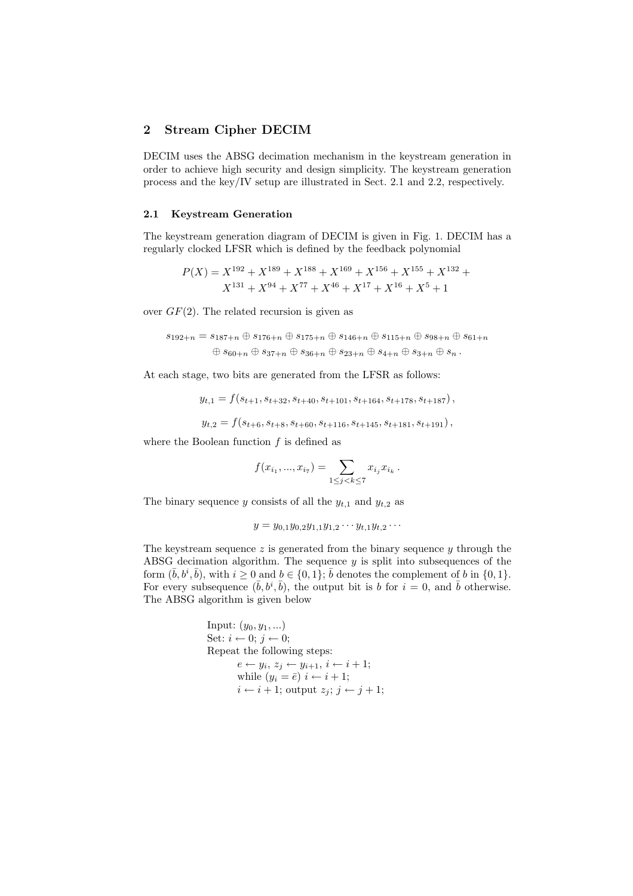## 2 Stream Cipher DECIM

DECIM uses the ABSG decimation mechanism in the keystream generation in order to achieve high security and design simplicity. The keystream generation process and the key/IV setup are illustrated in Sect. 2.1 and 2.2, respectively.

#### 2.1 Keystream Generation

The keystream generation diagram of DECIM is given in Fig. 1. DECIM has a regularly clocked LFSR which is defined by the feedback polynomial

$$
P(X) = X^{192} + X^{189} + X^{188} + X^{169} + X^{156} + X^{155} + X^{132} + X^{131} + X^{94} + X^{77} + X^{46} + X^{17} + X^{16} + X^{5} + 1
$$

over  $GF(2)$ . The related recursion is given as

$$
s_{192+n} = s_{187+n} \oplus s_{176+n} \oplus s_{175+n} \oplus s_{146+n} \oplus s_{115+n} \oplus s_{98+n} \oplus s_{61+n}
$$
  

$$
\oplus s_{60+n} \oplus s_{37+n} \oplus s_{36+n} \oplus s_{23+n} \oplus s_{4+n} \oplus s_{3+n} \oplus s_n.
$$

At each stage, two bits are generated from the LFSR as follows:

$$
y_{t,1} = f(s_{t+1}, s_{t+32}, s_{t+40}, s_{t+101}, s_{t+164}, s_{t+178}, s_{t+187}),
$$
  

$$
y_{t,2} = f(s_{t+6}, s_{t+8}, s_{t+60}, s_{t+116}, s_{t+145}, s_{t+181}, s_{t+191}),
$$

where the Boolean function  $f$  is defined as

$$
f(x_{i_1},...,x_{i_7}) = \sum_{1 \le j < k \le 7} x_{i_j} x_{i_k} \, .
$$

The binary sequence y consists of all the  $y_{t,1}$  and  $y_{t,2}$  as

$$
y = y_{0,1}y_{0,2}y_{1,1}y_{1,2}\cdots y_{t,1}y_{t,2}\cdots
$$

The keystream sequence  $z$  is generated from the binary sequence  $y$  through the ABSG decimation algorithm. The sequence  $y$  is split into subsequences of the form  $(\bar{b}, b^i, \bar{b})$ , with  $i \geq 0$  and  $b \in \{0, 1\}$ ;  $\bar{b}$  denotes the complement of b in  $\{0, 1\}$ . For every subsequence  $(\bar{b}, b^i, \bar{b})$ , the output bit is b for  $i = 0$ , and  $\bar{b}$  otherwise. The ABSG algorithm is given below

Input: 
$$
(y_0, y_1, ...)
$$
  
\nSet:  $i \leftarrow 0; j \leftarrow 0$ ;  
\nRepeat the following steps:  
\n $e \leftarrow y_i, z_j \leftarrow y_{i+1}, i \leftarrow i+1$ ;  
\nwhile  $(y_i = \overline{e}) \, i \leftarrow i+1$ ;  
\n $i \leftarrow i+1$ ; output  $z_j; j \leftarrow j+1$ ;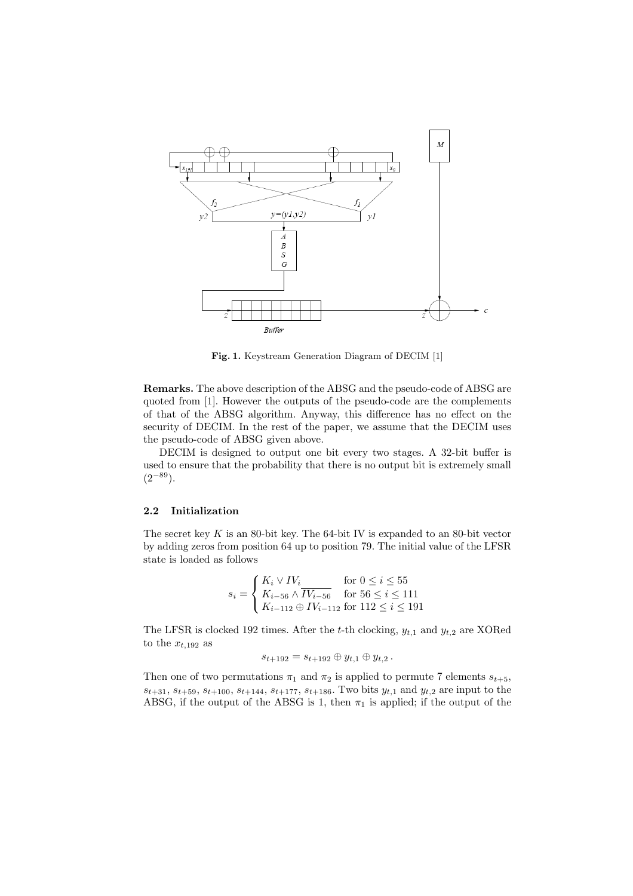

Fig. 1. Keystream Generation Diagram of DECIM [1]

Remarks. The above description of the ABSG and the pseudo-code of ABSG are quoted from [1]. However the outputs of the pseudo-code are the complements of that of the ABSG algorithm. Anyway, this difference has no effect on the security of DECIM. In the rest of the paper, we assume that the DECIM uses the pseudo-code of ABSG given above.

DECIM is designed to output one bit every two stages. A 32-bit buffer is used to ensure that the probability that there is no output bit is extremely small  $(2^{-89})$ .

#### 2.2 Initialization

The secret key  $K$  is an 80-bit key. The 64-bit IV is expanded to an 80-bit vector by adding zeros from position 64 up to position 79. The initial value of the LFSR state is loaded as follows

$$
s_i = \begin{cases} K_i \vee IV_i & \text{for } 0 \le i \le 55\\ K_{i-56} \wedge \overline{IV_{i-56}} & \text{for } 56 \le i \le 111\\ K_{i-112} \oplus IV_{i-112} & \text{for } 112 \le i \le 191 \end{cases}
$$

The LFSR is clocked 192 times. After the t-th clocking,  $y_{t,1}$  and  $y_{t,2}$  are XORed to the  $x_{t,192}$  as

$$
s_{t+192} = s_{t+192} \oplus y_{t,1} \oplus y_{t,2}.
$$

Then one of two permutations  $\pi_1$  and  $\pi_2$  is applied to permute 7 elements  $s_{t+5}$ ,  $s_{t+31}, s_{t+59}, s_{t+100}, s_{t+144}, s_{t+177}, s_{t+186}$ . Two bits  $y_{t,1}$  and  $y_{t,2}$  are input to the ABSG, if the output of the ABSG is 1, then  $\pi_1$  is applied; if the output of the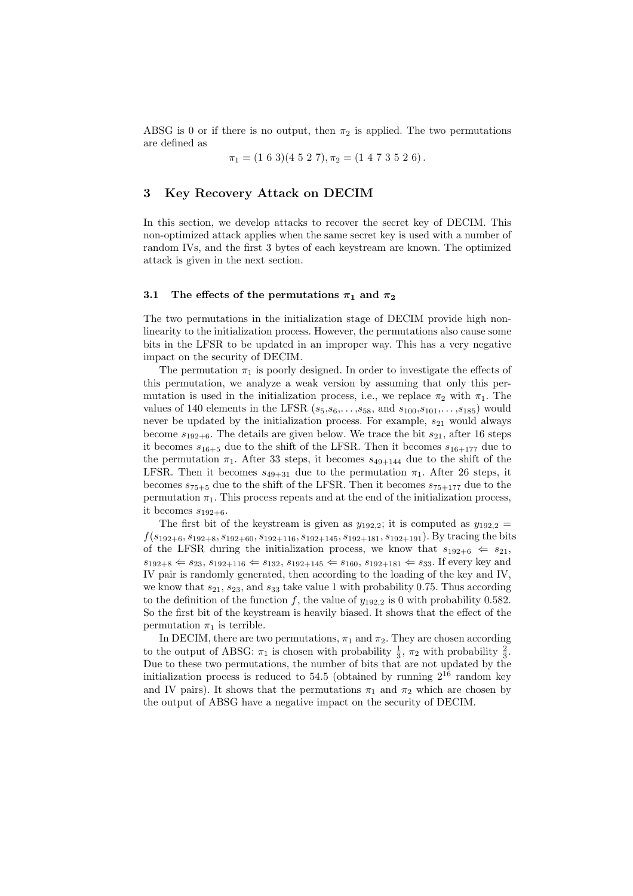ABSG is 0 or if there is no output, then  $\pi_2$  is applied. The two permutations are defined as

$$
\pi_1 = (1\ 6\ 3)(4\ 5\ 2\ 7), \pi_2 = (1\ 4\ 7\ 3\ 5\ 2\ 6).
$$

## 3 Key Recovery Attack on DECIM

In this section, we develop attacks to recover the secret key of DECIM. This non-optimized attack applies when the same secret key is used with a number of random IVs, and the first 3 bytes of each keystream are known. The optimized attack is given in the next section.

#### 3.1 The effects of the permutations  $\pi_1$  and  $\pi_2$

The two permutations in the initialization stage of DECIM provide high nonlinearity to the initialization process. However, the permutations also cause some bits in the LFSR to be updated in an improper way. This has a very negative impact on the security of DECIM.

The permutation  $\pi_1$  is poorly designed. In order to investigate the effects of this permutation, we analyze a weak version by assuming that only this permutation is used in the initialization process, i.e., we replace  $\pi_2$  with  $\pi_1$ . The values of 140 elements in the LFSR  $(s_5, s_6,..., s_{58}, \text{ and } s_{100}, s_{101},..., s_{185})$  would never be updated by the initialization process. For example,  $s_{21}$  would always become  $s_{192+6}$ . The details are given below. We trace the bit  $s_{21}$ , after 16 steps it becomes  $s_{16+5}$  due to the shift of the LFSR. Then it becomes  $s_{16+177}$  due to the permutation  $\pi_1$ . After 33 steps, it becomes  $s_{49+144}$  due to the shift of the LFSR. Then it becomes  $s_{49+31}$  due to the permutation  $\pi_1$ . After 26 steps, it becomes  $s_{75+5}$  due to the shift of the LFSR. Then it becomes  $s_{75+177}$  due to the permutation  $\pi_1$ . This process repeats and at the end of the initialization process, it becomes  $s_{192+6}$ .

The first bit of the keystream is given as  $y_{192,2}$ ; it is computed as  $y_{192,2} =$  $f(s_{192+6}, s_{192+8}, s_{192+60}, s_{192+116}, s_{192+145}, s_{192+181}, s_{192+191})$ . By tracing the bits of the LFSR during the initialization process, we know that  $s_{192+6} \leftarrow s_{21}$ ,  $s_{192+8} \Leftarrow s_{23}, s_{192+116} \Leftarrow s_{132}, s_{192+145} \Leftarrow s_{160}, s_{192+181} \Leftarrow s_{33}.$  If every key and IV pair is randomly generated, then according to the loading of the key and IV, we know that  $s_{21}, s_{23}$ , and  $s_{33}$  take value 1 with probability 0.75. Thus according to the definition of the function f, the value of  $y_{192.2}$  is 0 with probability 0.582. So the first bit of the keystream is heavily biased. It shows that the effect of the permutation  $\pi_1$  is terrible.

In DECIM, there are two permutations,  $\pi_1$  and  $\pi_2.$  They are chosen according to the output of ABSG:  $\pi_1$  is chosen with probability  $\frac{1}{3}$ ,  $\pi_2$  with probability  $\frac{2}{3}$ . Due to these two permutations, the number of bits that are not updated by the initialization process is reduced to  $54.5$  (obtained by running  $2^{16}$  random key and IV pairs). It shows that the permutations  $\pi_1$  and  $\pi_2$  which are chosen by the output of ABSG have a negative impact on the security of DECIM.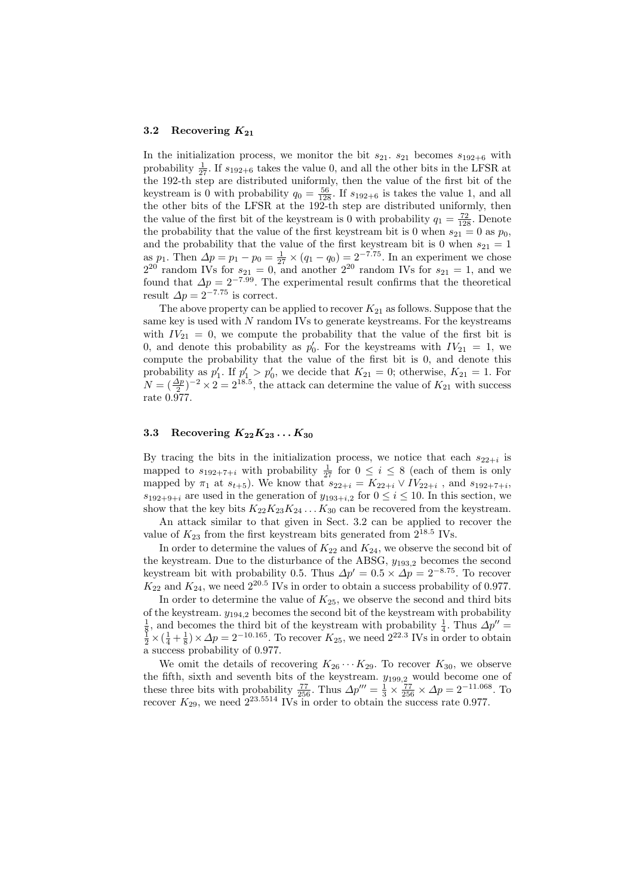#### 3.2 Recovering  $K_{21}$

In the initialization process, we monitor the bit  $s_{21}$ .  $s_{21}$  becomes  $s_{192+6}$  with probability  $\frac{1}{27}$ . If  $s_{192+6}$  takes the value 0, and all the other bits in the LFSR at the 192-th step are distributed uniformly, then the value of the first bit of the keystream is 0 with probability  $q_0 = \frac{56}{128}$ . If  $s_{192+6}$  is takes the value 1, and all the other bits of the LFSR at the 192-th step are distributed uniformly, then the value of the first bit of the keystream is 0 with probability  $q_1 = \frac{72}{128}$ . Denote the probability that the value of the first keystream bit is 0 when  $s_{21} = 0$  as  $p_0$ , and the probability that the value of the first keystream bit is 0 when  $s_{21} = 1$ as  $p_1$ . Then  $\Delta p = p_1 - p_0 = \frac{1}{27} \times (q_1 - q_0) = 2^{-7.75}$ . In an experiment we chose  $2^{20}$  random IVs for  $s_{21} = 0$ , and another  $2^{20}$  random IVs for  $s_{21} = 1$ , and we found that  $\Delta p = 2^{-7.99}$ . The experimental result confirms that the theoretical result  $\Delta p = 2^{-7.75}$  is correct.

The above property can be applied to recover  $K_{21}$  as follows. Suppose that the same key is used with N random IVs to generate keystreams. For the keystreams with  $IV_{21} = 0$ , we compute the probability that the value of the first bit is 0, and denote this probability as  $p'_0$ . For the keystreams with  $IV_{21} = 1$ , we compute the probability that the value of the first bit is 0, and denote this probability as  $p'_1$ . If  $p'_1 > p'_0$ , we decide that  $K_{21} = 0$ ; otherwise,  $K_{21} = 1$ . For  $N = (\frac{\Delta p}{2})^{-2} \times 2 = 2^{18.5}$ , the attack can determine the value of  $K_{21}$  with success rate 0.977.

#### 3.3 Recovering  $K_{22}K_{23}\ldots K_{30}$

By tracing the bits in the initialization process, we notice that each  $s_{22+i}$  is mapped to  $s_{192+7+i}$  with probability  $\frac{1}{27}$  for  $0 \leq i \leq 8$  (each of them is only mapped by  $\pi_1$  at  $s_{t+5}$ ). We know that  $s_{22+i} = K_{22+i} \vee IV_{22+i}$ , and  $s_{192+7+i}$ ,  $s_{192+9+i}$  are used in the generation of  $y_{193+i,2}$  for  $0 \le i \le 10$ . In this section, we show that the key bits  $K_{22}K_{23}K_{24}\ldots K_{30}$  can be recovered from the keystream.

An attack similar to that given in Sect. 3.2 can be applied to recover the value of  $K_{23}$  from the first keystream bits generated from  $2^{18.5}$  IVs.

In order to determine the values of  $K_{22}$  and  $K_{24}$ , we observe the second bit of the keystream. Due to the disturbance of the ABSG,  $y_{193,2}$  becomes the second keystream bit with probability 0.5. Thus  $\Delta p' = 0.5 \times \Delta p = 2^{-8.75}$ . To recover  $K_{22}$  and  $K_{24}$ , we need  $2^{20.5}$  IVs in order to obtain a success probability of 0.977.

In order to determine the value of  $K_{25}$ , we observe the second and third bits of the keystream.  $y_{194,2}$  becomes the second bit of the keystream with probability  $\frac{1}{8}$ , and becomes the third bit of the keystream with probability  $\frac{1}{4}$ . Thus  $\Delta p'' = \frac{1}{2} \times (\frac{1}{4} + \frac{1}{8}) \times \Delta p = 2^{-10.165}$ . To recover  $K_{25}$ , we need  $2^{22.3}$  IVs in order to obtain a success probability of 0.977.

We omit the details of recovering  $K_{26} \cdots K_{29}$ . To recover  $K_{30}$ , we observe the fifth, sixth and seventh bits of the keystream.  $y_{199,2}$  would become one of these three bits with probability  $\frac{77}{256}$ . Thus  $\Delta p''' = \frac{1}{3} \times \frac{77}{256} \times \Delta p = 2^{-11.068}$ . To recover  $K_{29}$ , we need  $2^{23.5514}$  IVs in order to obtain the success rate 0.977.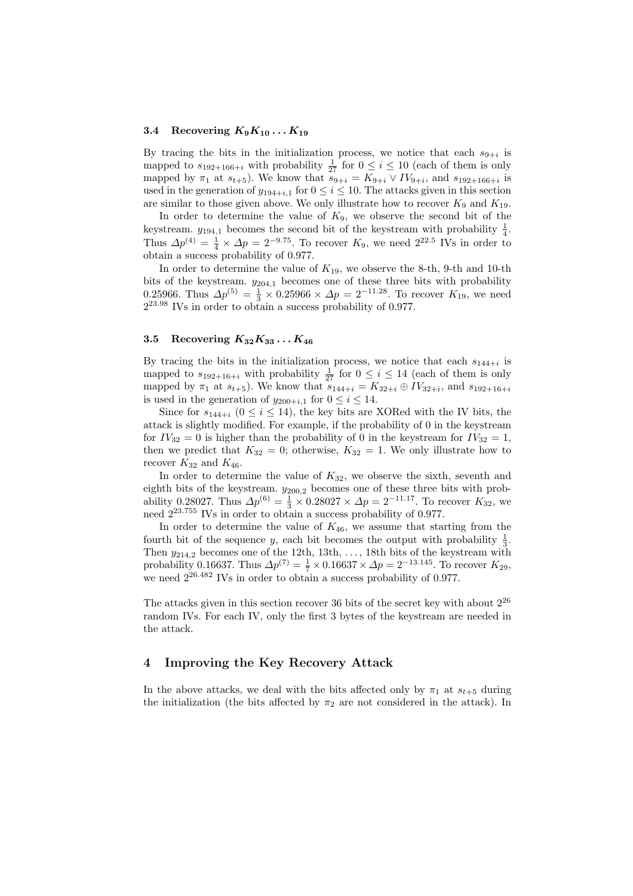#### 3.4 Recovering  $K_9K_{10} \ldots K_{19}$

By tracing the bits in the initialization process, we notice that each  $s_{9+i}$  is mapped to  $s_{192+166+i}$  with probability  $\frac{1}{27}$  for  $0 \le i \le 10$  (each of them is only mapped by  $\pi_1$  at  $s_{t+5}$ ). We know that  $s_{9+i} = K_{9+i} \vee IV_{9+i}$ , and  $s_{192+166+i}$  is used in the generation of  $y_{194+i,1}$  for  $0 \le i \le 10$ . The attacks given in this section are similar to those given above. We only illustrate how to recover  $K_9$  and  $K_{19}$ .

In order to determine the value of  $K_9$ , we observe the second bit of the keystream.  $y_{194,1}$  becomes the second bit of the keystream with probability  $\frac{1}{4}$ . Thus  $\Delta p^{(4)} = \frac{1}{4} \times \Delta p = 2^{-9.75}$ . To recover  $K_9$ , we need  $2^{22.5}$  IVs in order to obtain a success probability of 0.977.

In order to determine the value of  $K_{19}$ , we observe the 8-th, 9-th and 10-th bits of the keystream.  $y_{204,1}$  becomes one of these three bits with probability 0.25966. Thus  $\Delta p^{(5)} = \frac{1}{3} \times 0.25966 \times \Delta p = 2^{-11.28}$ . To recover  $K_{19}$ , we need  $2^{23.98}$  IVs in order to obtain a success probability of 0.977.

#### 3.5 Recovering  $K_{32}K_{33}\ldots K_{46}$

By tracing the bits in the initialization process, we notice that each  $s_{144+i}$  is mapped to  $s_{192+16+i}$  with probability  $\frac{1}{27}$  for  $0 \le i \le 14$  (each of them is only mapped by  $\pi_1$  at  $s_{t+5}$ ). We know that  $s_{144+i} = K_{32+i} \oplus IV_{32+i}$ , and  $s_{192+16+i}$ is used in the generation of  $y_{200+i,1}$  for  $0 \le i \le 14$ .

Since for  $s_{144+i}$  ( $0 \le i \le 14$ ), the key bits are XORed with the IV bits, the attack is slightly modified. For example, if the probability of 0 in the keystream for  $IV_{32} = 0$  is higher than the probability of 0 in the keystream for  $IV_{32} = 1$ , then we predict that  $K_{32} = 0$ ; otherwise,  $K_{32} = 1$ . We only illustrate how to recover  $K_{32}$  and  $K_{46}$ .

In order to determine the value of  $K_{32}$ , we observe the sixth, seventh and eighth bits of the keystream.  $y_{200,2}$  becomes one of these three bits with probability 0.28027. Thus  $\Delta p^{(6)} = \frac{1}{3} \times 0.28027 \times \Delta p = 2^{-11.17}$ . To recover  $K_{32}$ , we need  $2^{23.755}$  IVs in order to obtain a success probability of 0.977.

In order to determine the value of  $K_{46}$ , we assume that starting from the fourth bit of the sequence y, each bit becomes the output with probability  $\frac{1}{3}$ . Then  $y_{214,2}$  becomes one of the 12th, 13th, ..., 18th bits of the keystream with probability 0.16637. Thus  $\Delta p^{(7)} = \frac{1}{7} \times 0.16637 \times \Delta p = 2^{-13.145}$ . To recover  $K_{29}$ , we need  $2^{26.482}$  IVs in order to obtain a success probability of 0.977.

The attacks given in this section recover 36 bits of the secret key with about  $2^{26}$ random IVs. For each IV, only the first 3 bytes of the keystream are needed in the attack.

### 4 Improving the Key Recovery Attack

In the above attacks, we deal with the bits affected only by  $\pi_1$  at  $s_{t+5}$  during the initialization (the bits affected by  $\pi_2$  are not considered in the attack). In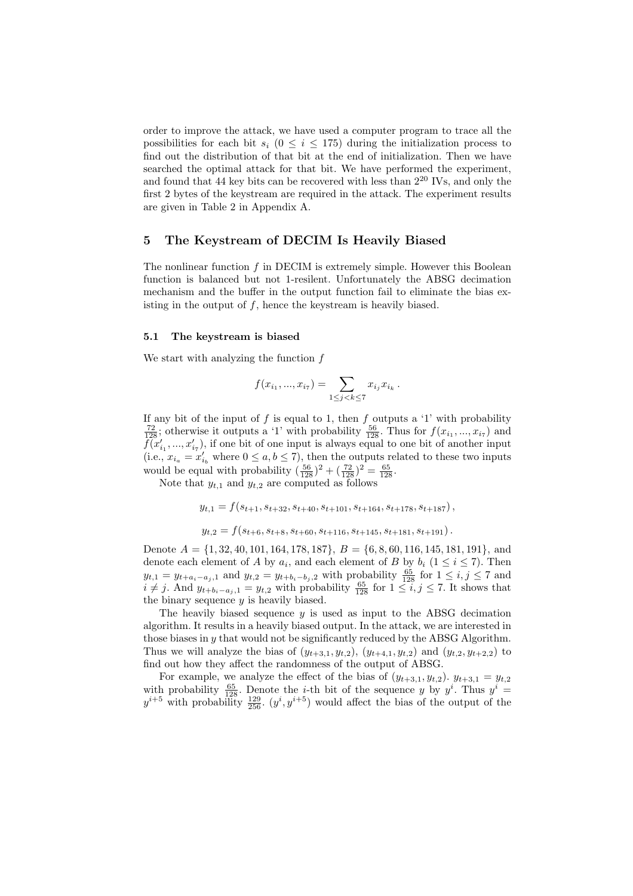order to improve the attack, we have used a computer program to trace all the possibilities for each bit  $s_i$  ( $0 \le i \le 175$ ) during the initialization process to find out the distribution of that bit at the end of initialization. Then we have searched the optimal attack for that bit. We have performed the experiment, and found that 44 key bits can be recovered with less than  $2^{20}$  IVs, and only the first 2 bytes of the keystream are required in the attack. The experiment results are given in Table 2 in Appendix A.

## 5 The Keystream of DECIM Is Heavily Biased

The nonlinear function  $f$  in DECIM is extremely simple. However this Boolean function is balanced but not 1-resilent. Unfortunately the ABSG decimation mechanism and the buffer in the output function fail to eliminate the bias existing in the output of  $f$ , hence the keystream is heavily biased.

#### 5.1 The keystream is biased

We start with analyzing the function  $f$ 

$$
f(x_{i_1},...,x_{i_7}) = \sum_{1 \le j < k \le 7} x_{i_j} x_{i_k} \, .
$$

If any bit of the input of f is equal to 1, then f outputs a '1' with probability  $\frac{72}{128}$ ; otherwise it outputs a '1' with probability  $\frac{56}{128}$ . Thus for  $f(x_{i_1},...,x_{i_7})$  and  $\widetilde{f}(x'_{i_1},...,x'_{i_7}),$  if one bit of one input is always equal to one bit of another input (i.e.,  $x_{i_a} = x'_{i_b}$  where  $0 \le a, b \le 7$ ), then the outputs related to these two inputs would be equal with probability  $(\frac{56}{128})^2 + (\frac{72}{128})^2 = \frac{65}{128}$ .

Note that  $y_{t,1}$  and  $y_{t,2}$  are computed as follows

$$
y_{t,1} = f(s_{t+1}, s_{t+32}, s_{t+40}, s_{t+101}, s_{t+164}, s_{t+178}, s_{t+187}),
$$
  

$$
y_{t,2} = f(s_{t+6}, s_{t+8}, s_{t+60}, s_{t+116}, s_{t+145}, s_{t+181}, s_{t+191}).
$$

Denote  $A = \{1, 32, 40, 101, 164, 178, 187\}, B = \{6, 8, 60, 116, 145, 181, 191\}, \text{and}$ denote each element of A by  $a_i$ , and each element of B by  $b_i$  ( $1 \le i \le 7$ ). Then  $y_{t,1} = y_{t+a_i-a_j,1}$  and  $y_{t,2} = y_{t+b_i-b_j,2}$  with probability  $\frac{65}{128}$  for  $1 \leq i,j \leq 7$  and  $i \neq j$ . And  $y_{t+b_i-a_j,1} = y_{t,2}$  with probability  $\frac{65}{128}$  for  $1 \leq i, j \leq 7$ . It shows that the binary sequence  $y$  is heavily biased.

The heavily biased sequence  $y$  is used as input to the ABSG decimation algorithm. It results in a heavily biased output. In the attack, we are interested in those biases in  $\gamma$  that would not be significantly reduced by the ABSG Algorithm. Thus we will analyze the bias of  $(y_{t+3,1}, y_{t,2}), (y_{t+4,1}, y_{t,2})$  and  $(y_{t,2}, y_{t+2,2})$  to find out how they affect the randomness of the output of ABSG.

For example, we analyze the effect of the bias of  $(y_{t+3,1}, y_{t,2})$ .  $y_{t+3,1} = y_{t,2}$ with probability  $\frac{65}{128}$ . Denote the *i*-th bit of the sequence y by  $y^i$ . Thus  $y^i =$  $y^{i+5}$  with probability  $\frac{129}{256}$ .  $(y^i, y^{i+5})$  would affect the bias of the output of the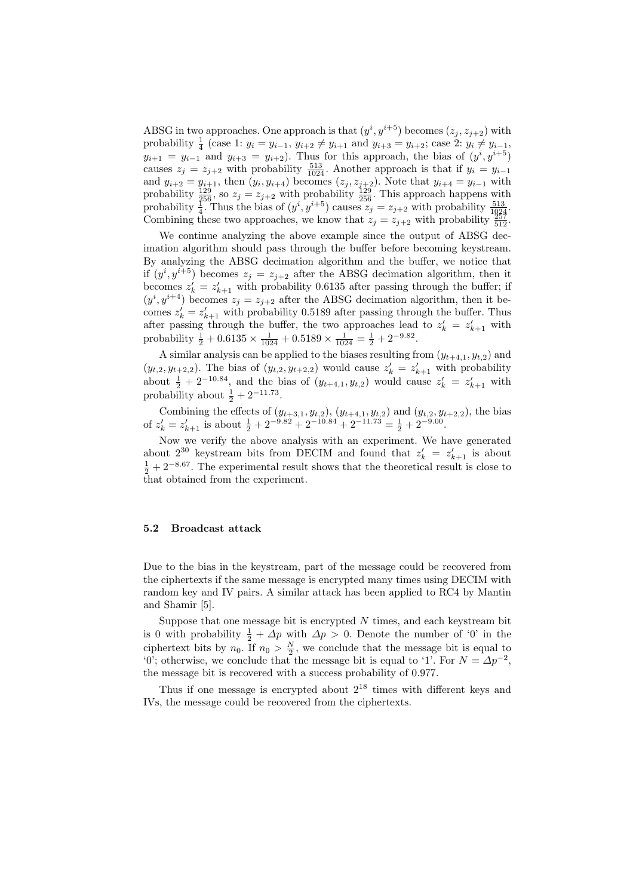ABSG in two approaches. One approach is that  $(y^i, y^{i+5})$  becomes  $(z_j, z_{j+2})$  with probability  $\frac{1}{4}$  (case 1:  $y_i = y_{i-1}, y_{i+2} \neq y_{i+1}$  and  $y_{i+3} = y_{i+2}$ ; case 2:  $y_i \neq y_{i-1}$ ,  $y_{i+1} = y_{i-1}$  and  $y_{i+3} = y_{i+2}$ . Thus for this approach, the bias of  $(y^i, y^{i+5})$ causes  $z_j = z_{j+2}$  with probability  $\frac{513}{1024}$ . Another approach is that if  $y_i = y_{i-1}$ and  $y_{i+2} = y_{i+1}$ , then  $(y_i, y_{i+4})$  becomes  $(z_j, z_{j+2})$ . Note that  $y_{i+4} = y_{i-1}$  with probability  $\frac{129}{256}$ , so  $z_j = z_{j+2}$  with probability  $\frac{129}{256}$ . This approach happens with probability  $\frac{100}{4}$ . Thus the bias of  $(y^i, y^{i+5})$  causes  $z_j = z_{j+2}$  with probability  $\frac{513}{1024}$ . Combining these two approaches, we know that  $z_j = z_{j+2}$  with probability  $\frac{257}{512}$ .

We continue analyzing the above example since the output of ABSG decimation algorithm should pass through the buffer before becoming keystream. By analyzing the ABSG decimation algorithm and the buffer, we notice that if  $(y^{i}, y^{i+5})$  becomes  $z_j = z_{j+2}$  after the ABSG decimation algorithm, then it becomes  $z'_k = z'_{k+1}$  with probability 0.6135 after passing through the buffer; if  $(y^{i}, y^{i+4})$  becomes  $z_j = z_{j+2}$  after the ABSG decimation algorithm, then it becomes  $z'_{k} = z'_{k+1}$  with probability 0.5189 after passing through the buffer. Thus after passing through the buffer, the two approaches lead to  $z'_{k} = z'_{k+1}$  with probability  $\frac{1}{2} + 0.6135 \times \frac{1}{1024} + 0.5189 \times \frac{1}{1024} = \frac{1}{2} + 2^{-9.82}$ .

A similar analysis can be applied to the biases resulting from  $(y_{t+4,1}, y_{t,2})$  and  $(y_{t,2}, y_{t+2,2})$ . The bias of  $(y_{t,2}, y_{t+2,2})$  would cause  $z'_{k} = z'_{k+1}$  with probability about  $\frac{1}{2} + 2^{-10.84}$ , and the bias of  $(y_{t+4,1}, y_{t,2})$  would cause  $z'_{k} = z'_{k+1}$  with probability about  $\frac{1}{2} + 2^{-11.73}$ .

Combining the effects of  $(y_{t+3,1}, y_{t,2}), (y_{t+4,1}, y_{t,2})$  and  $(y_{t,2}, y_{t+2,2}),$  the bias of  $z'_k = z'_{k+1}$  is about  $\frac{1}{2} + 2^{-9.82} + 2^{-10.84} + 2^{-11.73} = \frac{1}{2} + 2^{-9.00}$ .

Now we verify the above analysis with an experiment. We have generated about  $2^{30}$  keystream bits from DECIM and found that  $z'_k = z'_{k+1}$  is about  $\frac{1}{2} + 2^{-8.67}$ . The experimental result shows that the theoretical result is close to that obtained from the experiment.

### 5.2 Broadcast attack

Due to the bias in the keystream, part of the message could be recovered from the ciphertexts if the same message is encrypted many times using DECIM with random key and IV pairs. A similar attack has been applied to RC4 by Mantin and Shamir [5].

Suppose that one message bit is encrypted  $N$  times, and each keystream bit is 0 with probability  $\frac{1}{2} + \Delta p$  with  $\Delta p > 0$ . Denote the number of '0' in the ciphertext bits by  $n_0$ . If  $n_0 > \frac{N}{2}$ , we conclude that the message bit is equal to '0'; otherwise, we conclude that the message bit is equal to '1'. For  $N = \Delta p^{-2}$ , the message bit is recovered with a success probability of 0.977.

Thus if one message is encrypted about  $2^{18}$  times with different keys and IVs, the message could be recovered from the ciphertexts.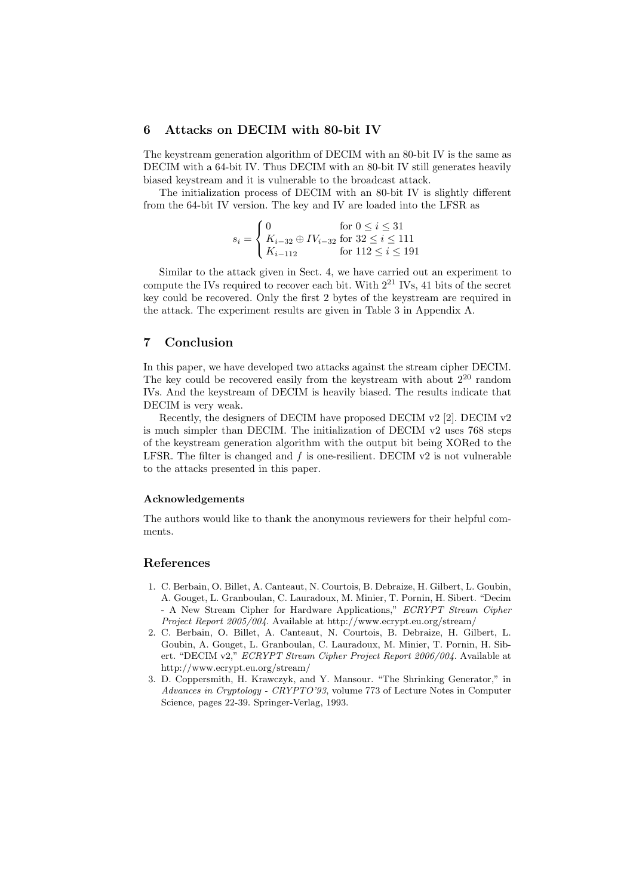## 6 Attacks on DECIM with 80-bit IV

The keystream generation algorithm of DECIM with an 80-bit IV is the same as DECIM with a 64-bit IV. Thus DECIM with an 80-bit IV still generates heavily biased keystream and it is vulnerable to the broadcast attack.

The initialization process of DECIM with an 80-bit IV is slightly different from the 64-bit IV version. The key and IV are loaded into the LFSR as

$$
s_i = \begin{cases} 0 & \text{for } 0 \le i \le 31 \\ K_{i-32} \oplus IV_{i-32} & \text{for } 32 \le i \le 111 \\ K_{i-112} & \text{for } 112 \le i \le 191 \end{cases}
$$

Similar to the attack given in Sect. 4, we have carried out an experiment to compute the IVs required to recover each bit. With  $2^{21}$  IVs, 41 bits of the secret key could be recovered. Only the first 2 bytes of the keystream are required in the attack. The experiment results are given in Table 3 in Appendix A.

## 7 Conclusion

In this paper, we have developed two attacks against the stream cipher DECIM. The key could be recovered easily from the keystream with about  $2^{20}$  random IVs. And the keystream of DECIM is heavily biased. The results indicate that DECIM is very weak.

Recently, the designers of DECIM have proposed DECIM v2 [2]. DECIM v2 is much simpler than DECIM. The initialization of DECIM v2 uses 768 steps of the keystream generation algorithm with the output bit being XORed to the LFSR. The filter is changed and  $f$  is one-resilient. DECIM  $v2$  is not vulnerable to the attacks presented in this paper.

#### Acknowledgements

The authors would like to thank the anonymous reviewers for their helpful comments.

#### References

- 1. C. Berbain, O. Billet, A. Canteaut, N. Courtois, B. Debraize, H. Gilbert, L. Goubin, A. Gouget, L. Granboulan, C. Lauradoux, M. Minier, T. Pornin, H. Sibert. "Decim - A New Stream Cipher for Hardware Applications," ECRYPT Stream Cipher Project Report 2005/004. Available at http://www.ecrypt.eu.org/stream/
- 2. C. Berbain, O. Billet, A. Canteaut, N. Courtois, B. Debraize, H. Gilbert, L. Goubin, A. Gouget, L. Granboulan, C. Lauradoux, M. Minier, T. Pornin, H. Sibert. "DECIM v2," ECRYPT Stream Cipher Project Report 2006/004. Available at http://www.ecrypt.eu.org/stream/
- 3. D. Coppersmith, H. Krawczyk, and Y. Mansour. "The Shrinking Generator," in Advances in Cryptology - CRYPTO'93, volume 773 of Lecture Notes in Computer Science, pages 22-39. Springer-Verlag, 1993.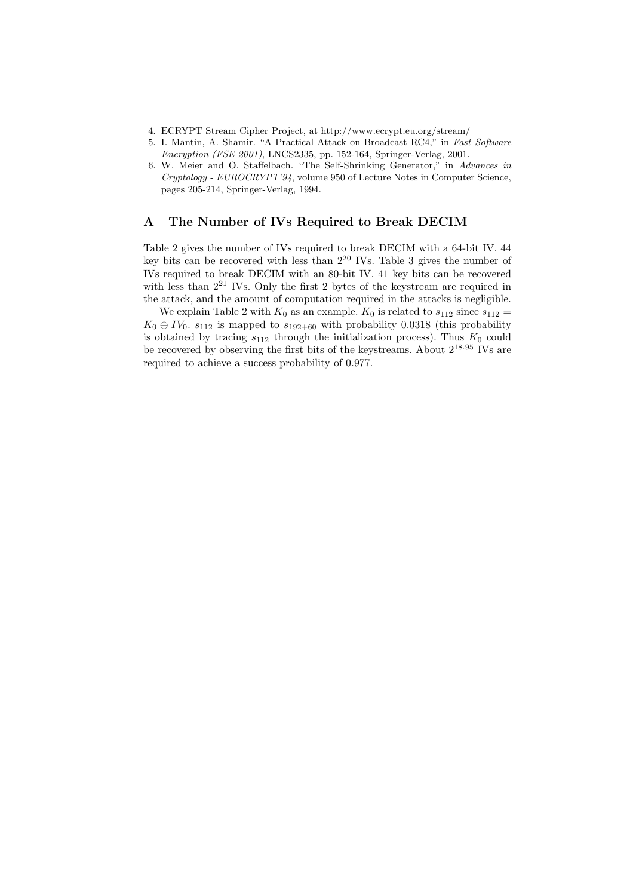- 4. ECRYPT Stream Cipher Project, at http://www.ecrypt.eu.org/stream/
- 5. I. Mantin, A. Shamir. "A Practical Attack on Broadcast RC4," in Fast Software Encryption (FSE 2001), LNCS2335, pp. 152-164, Springer-Verlag, 2001.
- 6. W. Meier and O. Staffelbach. "The Self-Shrinking Generator," in Advances in Cryptology - EUROCRYPT'94, volume 950 of Lecture Notes in Computer Science, pages 205-214, Springer-Verlag, 1994.

### A The Number of IVs Required to Break DECIM

Table 2 gives the number of IVs required to break DECIM with a 64-bit IV. 44 key bits can be recovered with less than  $2^{20}$  IVs. Table 3 gives the number of IVs required to break DECIM with an 80-bit IV. 41 key bits can be recovered with less than  $2^{21}$  IVs. Only the first 2 bytes of the keystream are required in the attack, and the amount of computation required in the attacks is negligible.

We explain Table 2 with  $K_0$  as an example.  $K_0$  is related to  $s_{112}$  since  $s_{112}$  =  $K_0 \oplus IV_0$ .  $s_{112}$  is mapped to  $s_{192+60}$  with probability 0.0318 (this probability is obtained by tracing  $s_{112}$  through the initialization process). Thus  $K_0$  could be recovered by observing the first bits of the keystreams. About 2<sup>18</sup>.<sup>95</sup> IVs are required to achieve a success probability of 0.977.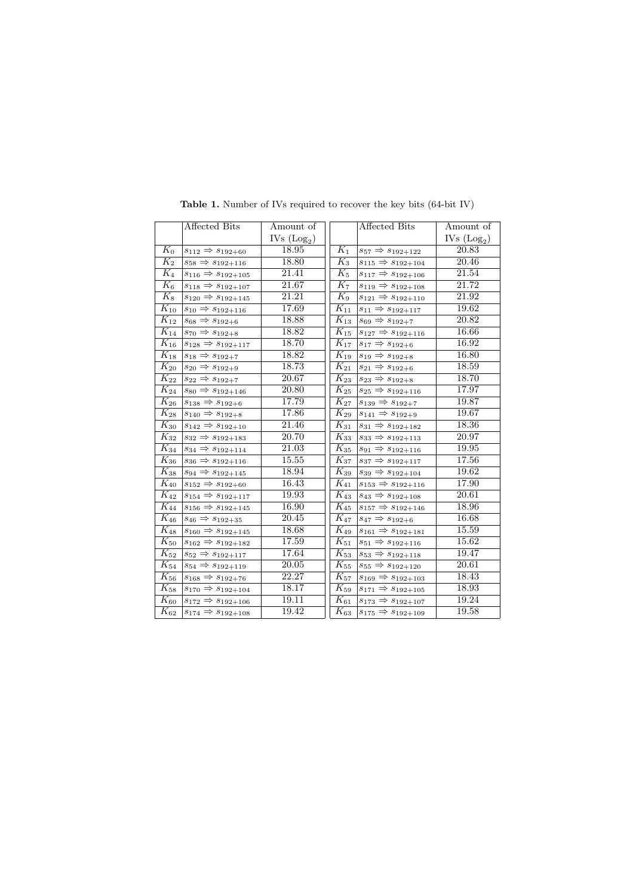|                     | Affected Bits                     | Amount of    |                              | Affected Bits                     | Amount of    |
|---------------------|-----------------------------------|--------------|------------------------------|-----------------------------------|--------------|
|                     |                                   | IVs $(Log2)$ |                              |                                   | IVs $(Log2)$ |
| $K_0$               | $s_{112}\Rightarrow s_{192+60}$   | 18.95        | $K_1$                        | $s_{57}\Rightarrow s_{192+122}$   | 20.83        |
| $K_2$               | $s_{58} \Rightarrow s_{192+116}$  | 18.80        | $K_3$                        | $s_{115} \Rightarrow s_{192+104}$ | 20.46        |
| $K_4$               | $s_{116} \Rightarrow s_{192+105}$ | 21.41        | $K_{5}$                      | $s_{117} \Rightarrow s_{192+106}$ | 21.54        |
| $\overline{K_6}$    | $s_{118} \Rightarrow s_{192+107}$ | 21.67        | $K_7$                        | $s_{119} \Rightarrow s_{192+108}$ | 21.72        |
| $K_8$               | $s_{120}\Rightarrow s_{192+145}$  | 21.21        | $K_9$                        | $s_{121} \Rightarrow s_{192+110}$ | 21.92        |
| $K_{10}$            | $s_{10} \Rightarrow s_{192+116}$  | 17.69        | $K_{11}$                     | $s_{11} \Rightarrow s_{192+117}$  | 19.62        |
| $K_{12}$            | $s_{68} \Rightarrow s_{192+6}$    | 18.88        | $K_{13}$                     | $s_{69} \Rightarrow s_{192+7}$    | 20.82        |
| $K_{14}$            | $s_{70} \Rightarrow s_{192+8}$    | 18.82        | $K_{15}$                     | $s_{127} \Rightarrow s_{192+116}$ | 16.66        |
| $\overline{K}_{16}$ | $s_{128}\Rightarrow s_{192+117}$  | 18.70        | $K_{17}$                     | $s_{17} \Rightarrow s_{192+6}$    | 16.92        |
| $\overline{K}_{18}$ | $s_{18} \Rightarrow s_{192+7}$    | 18.82        | $\overline{K_{19}}$          | $s_{19}\Rightarrow s_{192+8}$     | 16.80        |
| $K_{20}$            | $s_{20}\Rightarrow s_{192+9}$     | 18.73        | $K_{21}$                     | $s_{21} \Rightarrow s_{192+6}$    | 18.59        |
| $\overline{K}_{22}$ | $s_{22} \Rightarrow s_{192+7}$    | 20.67        | $\overline{K}_{23}$          | $s_{23} \Rightarrow s_{192+8}$    | 18.70        |
| $K_{24}$            | $s_{80} \Rightarrow s_{192+146}$  | 20.80        | $K_{25}$                     | $s_{25}\Rightarrow s_{192+116}$   | 17.97        |
| $\overline{K}_{26}$ | $s_{138} \Rightarrow s_{192+6}$   | 17.79        | $K_{27}$                     | $s_{139} \Rightarrow s_{192+7}$   | 19.87        |
| $\overline{K_{28}}$ | $s_{140} \Rightarrow s_{192+8}$   | 17.86        | $K_{29}$                     | $s_{141} \Rightarrow s_{192+9}$   | 19.67        |
| $K_{30}$            | $s_{142}\Rightarrow s_{192+10}$   | 21.46        | $K_{31}$                     | $s_{31}\Rightarrow s_{192+182}$   | 18.36        |
| $K_{32}$            | $s_{32} \Rightarrow s_{192+183}$  | 20.70        | $K_{33}$                     | $s_{33} \Rightarrow s_{192+113}$  | 20.97        |
| $K_{34}$            | $s_{34} \Rightarrow s_{192+114}$  | 21.03        | $K_{35}$                     | $s_{91} \Rightarrow s_{192+116}$  | 19.95        |
| $K_{36}$            | $s_{36} \Rightarrow s_{192+116}$  | 15.55        | $K_{37}$                     | $s_{37} \Rightarrow s_{192+117}$  | 17.56        |
| $\overline{K_{38}}$ | $s_{94} \Rightarrow s_{192+145}$  | 18.94        | $K_{39}$                     | $s_{39} \Rightarrow s_{192+104}$  | 19.62        |
| $\overline{K}_{40}$ | $s_{152} \Rightarrow s_{192+60}$  | 16.43        | $K_{41}$                     | $s_{153} \Rightarrow s_{192+116}$ | 17.90        |
| $K_{42}$            | $s_{154} \Rightarrow s_{192+117}$ | 19.93        | $K_{43}$                     | $s_{43}\Rightarrow s_{192+108}$   | 20.61        |
| $\overline{K}_{44}$ | $s_{156} \Rightarrow s_{192+145}$ | 16.90        | $K_{45}$                     | $s_{157} \Rightarrow s_{192+146}$ | 18.96        |
| $\overline{K_{46}}$ | $s_{46} \Rightarrow s_{192+35}$   | 20.45        | $\overline{K}_{47}$          | $s_{47} \Rightarrow s_{192+6}$    | 16.68        |
| $\overline{K_{48}}$ | $s_{160} \Rightarrow s_{192+145}$ | 18.68        | $K_{49}$                     | $s_{161} \Rightarrow s_{192+181}$ | 15.59        |
| $\overline{K}_{50}$ | $s_{162}\Rightarrow s_{192+182}$  | 17.59        | $\mathrm{\overline{K}_{51}}$ | $s_{51} \Rightarrow s_{192+116}$  | 15.62        |
| $K_{52}$            | $s_{52}\Rightarrow s_{192+117}$   | 17.64        | $K_{53}$                     | $s_{53} \Rightarrow s_{192+118}$  | 19.47        |
| $\overline{K}_{54}$ | $s_{54} \Rightarrow s_{192+119}$  | 20.05        | $\overline{K}_{55}$          | $s_{55} \Rightarrow s_{192+120}$  | 20.61        |
| $K_{56}$            | $s_{168} \Rightarrow s_{192+76}$  | 22.27        | $K_{57}$                     | $s_{169} \Rightarrow s_{192+103}$ | 18.43        |
| $\overline{K}_{58}$ | $s_{170} \Rightarrow s_{192+104}$ | 18.17        | $K_{59}$                     | $s_{171} \Rightarrow s_{192+105}$ | 18.93        |
| $\overline{K}_{60}$ | $s_{172} \Rightarrow s_{192+106}$ | 19.11        | $K_{61}$                     | $s_{173} \Rightarrow s_{192+107}$ | 19.24        |
| $K_{62}$            | $s_{174} \Rightarrow s_{192+108}$ | 19.42        | $K_{63}$                     | $s_{175} \Rightarrow s_{192+109}$ | 19.58        |

Table 1. Number of IVs required to recover the key bits  $(64$ -bit IV)